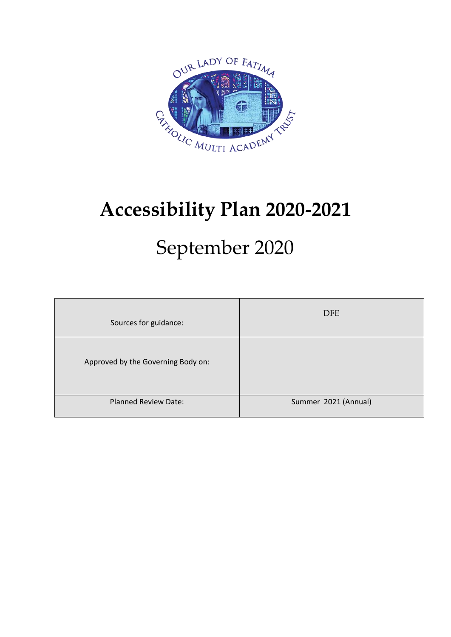

# **Accessibility Plan 2020-2021**

# September 2020

| Sources for guidance:              | <b>DFE</b>           |
|------------------------------------|----------------------|
| Approved by the Governing Body on: |                      |
| <b>Planned Review Date:</b>        | Summer 2021 (Annual) |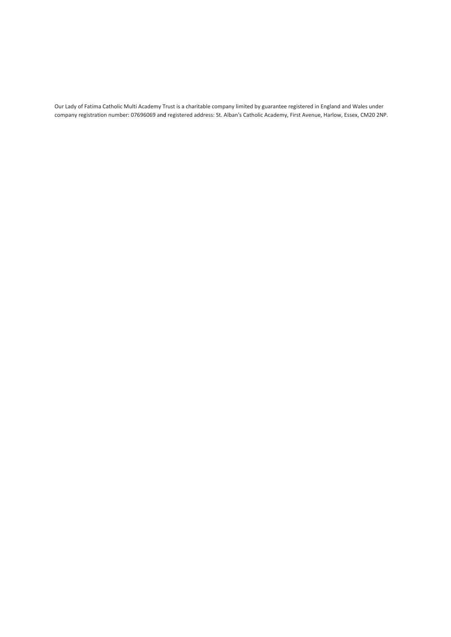Our Lady of Fatima Catholic Multi Academy Trust is a charitable company limited by guarantee registered in England and Wales under company registration number: 07696069 and registered address: St. Alban's Catholic Academy, First Avenue, Harlow, Essex, CM20 2NP.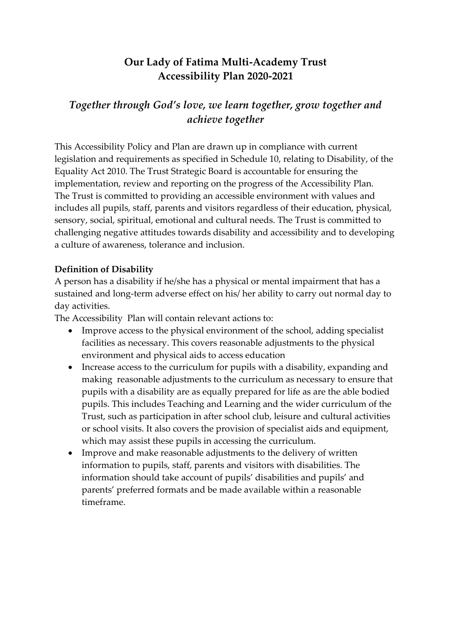### **Our Lady of Fatima Multi-Academy Trust Accessibility Plan 2020-2021**

### *Together through God's love, we learn together, grow together and achieve together*

This Accessibility Policy and Plan are drawn up in compliance with current legislation and requirements as specified in Schedule 10, relating to Disability, of the Equality Act 2010. The Trust Strategic Board is accountable for ensuring the implementation, review and reporting on the progress of the Accessibility Plan. The Trust is committed to providing an accessible environment with values and includes all pupils, staff, parents and visitors regardless of their education, physical, sensory, social, spiritual, emotional and cultural needs. The Trust is committed to challenging negative attitudes towards disability and accessibility and to developing a culture of awareness, tolerance and inclusion.

#### **Definition of Disability**

A person has a disability if he/she has a physical or mental impairment that has a sustained and long-term adverse effect on his/ her ability to carry out normal day to day activities.

The Accessibility Plan will contain relevant actions to:

- Improve access to the physical environment of the school, adding specialist facilities as necessary. This covers reasonable adjustments to the physical environment and physical aids to access education
- Increase access to the curriculum for pupils with a disability, expanding and making reasonable adjustments to the curriculum as necessary to ensure that pupils with a disability are as equally prepared for life as are the able bodied pupils. This includes Teaching and Learning and the wider curriculum of the Trust, such as participation in after school club, leisure and cultural activities or school visits. It also covers the provision of specialist aids and equipment, which may assist these pupils in accessing the curriculum.
- Improve and make reasonable adjustments to the delivery of written information to pupils, staff, parents and visitors with disabilities. The information should take account of pupils' disabilities and pupils' and parents' preferred formats and be made available within a reasonable timeframe.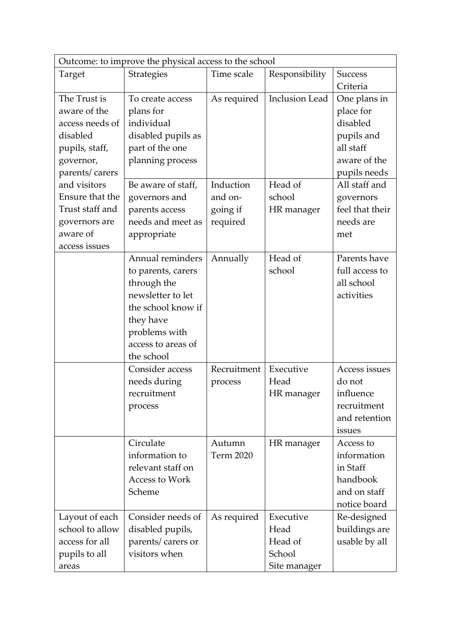| Outcome: to improve the physical access to the school |                                 |                  |                       |                 |
|-------------------------------------------------------|---------------------------------|------------------|-----------------------|-----------------|
| Target                                                | Strategies                      | Time scale       | Responsibility        | <b>Success</b>  |
|                                                       |                                 |                  |                       | Criteria        |
| The Trust is                                          | As required<br>To create access |                  | <b>Inclusion Lead</b> | One plans in    |
| aware of the                                          | plans for                       |                  |                       | place for       |
| access needs of                                       | individual                      |                  |                       | disabled        |
| disabled                                              | disabled pupils as              |                  |                       | pupils and      |
| pupils, staff,                                        | part of the one                 |                  |                       | all staff       |
| governor,                                             | planning process                |                  |                       | aware of the    |
| parents/carers                                        |                                 |                  |                       | pupils needs    |
| and visitors                                          | Be aware of staff,              | Induction        | Head of               | All staff and   |
| Ensure that the                                       | governors and                   | and on-          | school                | governors       |
| Trust staff and                                       | parents access                  | going if         | HR manager            | feel that their |
| governors are                                         | needs and meet as               | required         |                       | needs are       |
| aware of                                              | appropriate                     |                  |                       | met             |
| access issues                                         |                                 |                  |                       |                 |
|                                                       | Annual reminders                | Annually         | Head of               | Parents have    |
|                                                       | to parents, carers              |                  | school                | full access to  |
|                                                       | through the                     |                  |                       | all school      |
|                                                       | newsletter to let               |                  |                       | activities      |
|                                                       | the school know if              |                  |                       |                 |
|                                                       | they have                       |                  |                       |                 |
|                                                       | problems with                   |                  |                       |                 |
|                                                       | access to areas of              |                  |                       |                 |
|                                                       | the school                      |                  |                       |                 |
|                                                       | Consider access                 | Recruitment      | Executive             | Access issues   |
|                                                       | needs during                    | process          | Head                  | do not          |
|                                                       | recruitment                     |                  | HR manager            | influence       |
|                                                       | process                         |                  |                       | recruitment     |
|                                                       |                                 |                  |                       | and retention   |
|                                                       |                                 |                  |                       | issues          |
|                                                       | Circulate                       | Autumn           | HR manager            | Access to       |
|                                                       | information to                  | <b>Term 2020</b> |                       | information     |
|                                                       | relevant staff on               |                  |                       | in Staff        |
|                                                       | Access to Work                  |                  |                       | handbook        |
|                                                       | Scheme                          |                  |                       | and on staff    |
|                                                       |                                 |                  |                       | notice board    |
| Layout of each                                        | Consider needs of               | As required      | Executive             | Re-designed     |
| school to allow                                       | disabled pupils,                |                  | Head                  | buildings are   |
| access for all                                        | parents/carers or               |                  | Head of               | usable by all   |
| pupils to all                                         | visitors when                   |                  | School                |                 |
| areas                                                 |                                 |                  | Site manager          |                 |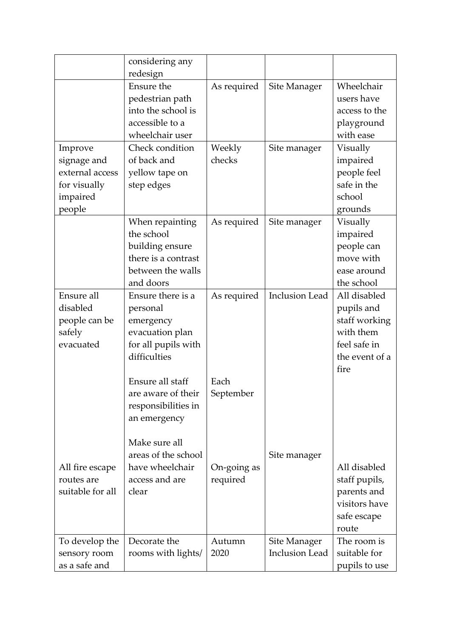|                               | considering any<br>redesign |             |                                       |                              |
|-------------------------------|-----------------------------|-------------|---------------------------------------|------------------------------|
|                               | Ensure the                  | As required | Site Manager                          | Wheelchair                   |
|                               | pedestrian path             |             |                                       | users have                   |
|                               | into the school is          |             |                                       | access to the                |
|                               | accessible to a             |             |                                       | playground                   |
|                               | wheelchair user             |             |                                       | with ease                    |
| Improve                       | Check condition             | Weekly      | Site manager                          | Visually                     |
| signage and                   | of back and                 | checks      |                                       | impaired                     |
| external access               | yellow tape on              |             |                                       | people feel                  |
| for visually                  | step edges                  |             |                                       | safe in the                  |
| impaired                      |                             |             |                                       | school                       |
| people                        |                             |             |                                       | grounds                      |
|                               | When repainting             | As required | Site manager                          | Visually                     |
|                               | the school                  |             |                                       | impaired                     |
|                               | building ensure             |             |                                       | people can                   |
|                               | there is a contrast         |             |                                       | move with                    |
|                               | between the walls           |             |                                       | ease around                  |
|                               | and doors                   |             |                                       | the school                   |
| Ensure all                    | Ensure there is a           | As required | <b>Inclusion Lead</b>                 | All disabled                 |
| disabled                      | personal                    |             |                                       | pupils and                   |
| people can be                 | emergency                   |             |                                       | staff working                |
| safely                        | evacuation plan             |             |                                       | with them                    |
| evacuated                     | for all pupils with         |             |                                       | feel safe in                 |
|                               | difficulties                |             |                                       | the event of a               |
|                               |                             |             |                                       | fire                         |
|                               | Ensure all staff            | Each        |                                       |                              |
|                               | are aware of their          | September   |                                       |                              |
|                               | responsibilities in         |             |                                       |                              |
|                               | an emergency                |             |                                       |                              |
|                               |                             |             |                                       |                              |
|                               | Make sure all               |             |                                       |                              |
|                               | areas of the school         |             | Site manager                          |                              |
| All fire escape               | have wheelchair             | On-going as |                                       | All disabled                 |
| routes are                    | access and are              | required    |                                       | staff pupils,                |
| suitable for all              | clear                       |             |                                       | parents and<br>visitors have |
|                               |                             |             |                                       |                              |
|                               |                             |             |                                       | safe escape<br>route         |
|                               | Decorate the                | Autumn      |                                       | The room is                  |
| To develop the                | rooms with lights/          | 2020        | Site Manager<br><b>Inclusion Lead</b> | suitable for                 |
| sensory room<br>as a safe and |                             |             |                                       |                              |
|                               |                             |             |                                       | pupils to use                |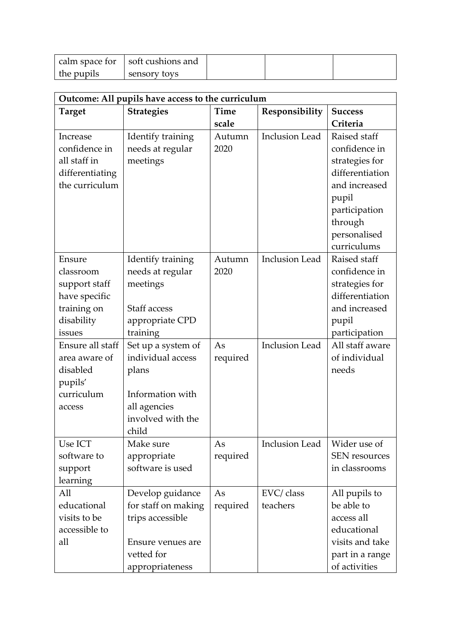|            | calm space for   soft cushions and |  |
|------------|------------------------------------|--|
| the pupils | sensory toys                       |  |

| Outcome: All pupils have access to the curriculum |                     |          |                       |                      |
|---------------------------------------------------|---------------------|----------|-----------------------|----------------------|
| <b>Target</b>                                     | <b>Strategies</b>   | Time     | Responsibility        | <b>Success</b>       |
|                                                   |                     | scale    |                       | Criteria             |
| Increase                                          | Identify training   | Autumn   | <b>Inclusion Lead</b> | Raised staff         |
| confidence in                                     | needs at regular    | 2020     |                       | confidence in        |
| all staff in                                      | meetings            |          |                       | strategies for       |
| differentiating                                   |                     |          |                       | differentiation      |
| the curriculum                                    |                     |          |                       | and increased        |
|                                                   |                     |          |                       | pupil                |
|                                                   |                     |          |                       | participation        |
|                                                   |                     |          |                       | through              |
|                                                   |                     |          |                       | personalised         |
|                                                   |                     |          |                       | curriculums          |
| Ensure                                            | Identify training   | Autumn   | <b>Inclusion Lead</b> | Raised staff         |
| classroom                                         | needs at regular    | 2020     |                       | confidence in        |
| support staff                                     | meetings            |          |                       | strategies for       |
| have specific                                     |                     |          |                       | differentiation      |
| training on                                       | Staff access        |          |                       | and increased        |
| disability                                        | appropriate CPD     |          |                       | pupil                |
| issues                                            | training            |          |                       | participation        |
| Ensure all staff                                  | Set up a system of  | As       | <b>Inclusion Lead</b> | All staff aware      |
| area aware of                                     | individual access   | required |                       | of individual        |
| disabled                                          | plans               |          |                       | needs                |
| pupils'                                           |                     |          |                       |                      |
| curriculum                                        | Information with    |          |                       |                      |
| access                                            | all agencies        |          |                       |                      |
|                                                   | involved with the   |          |                       |                      |
|                                                   | child               |          |                       |                      |
| Use ICT                                           | Make sure           | As       | <b>Inclusion Lead</b> | Wider use of         |
| software to                                       | appropriate         | required |                       | <b>SEN</b> resources |
| support                                           | software is used    |          |                       | in classrooms        |
| learning                                          |                     |          |                       |                      |
| All                                               | Develop guidance    | As       | EVC/ class            | All pupils to        |
| educational                                       | for staff on making | required | teachers              | be able to           |
| visits to be                                      | trips accessible    |          |                       | access all           |
| accessible to                                     |                     |          |                       | educational          |
| all                                               | Ensure venues are   |          |                       | visits and take      |
|                                                   | vetted for          |          |                       | part in a range      |
|                                                   | appropriateness     |          |                       | of activities        |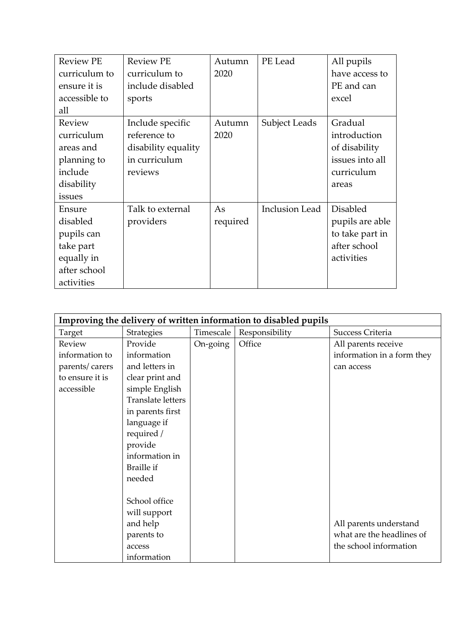| <b>Review PE</b><br>curriculum to<br>ensure it is<br>accessible to                        | <b>Review PE</b><br>curriculum to<br>include disabled<br>sports                     | Autumn<br>2020 | PE Lead               | All pupils<br>have access to<br>PE and can<br>excel                                 |
|-------------------------------------------------------------------------------------------|-------------------------------------------------------------------------------------|----------------|-----------------------|-------------------------------------------------------------------------------------|
| all                                                                                       |                                                                                     |                |                       |                                                                                     |
| Review<br>curriculum<br>areas and<br>planning to<br>include<br>disability<br>issues       | Include specific<br>reference to<br>disability equality<br>in curriculum<br>reviews | Autumn<br>2020 | Subject Leads         | Gradual<br>introduction<br>of disability<br>issues into all<br>curriculum<br>areas  |
| Ensure<br>disabled<br>pupils can<br>take part<br>equally in<br>after school<br>activities | Talk to external<br>providers                                                       | As<br>required | <b>Inclusion Lead</b> | <b>Disabled</b><br>pupils are able<br>to take part in<br>after school<br>activities |

| Improving the delivery of written information to disabled pupils |                   |           |                |                            |
|------------------------------------------------------------------|-------------------|-----------|----------------|----------------------------|
| Target                                                           | Strategies        | Timescale | Responsibility | Success Criteria           |
| Review                                                           | Provide           | On-going  | Office         | All parents receive        |
| information to                                                   | information       |           |                | information in a form they |
| parents/carers                                                   | and letters in    |           |                | can access                 |
| to ensure it is                                                  | clear print and   |           |                |                            |
| accessible                                                       | simple English    |           |                |                            |
|                                                                  | Translate letters |           |                |                            |
|                                                                  | in parents first  |           |                |                            |
|                                                                  | language if       |           |                |                            |
|                                                                  | required /        |           |                |                            |
|                                                                  | provide           |           |                |                            |
|                                                                  | information in    |           |                |                            |
|                                                                  | <b>Braille if</b> |           |                |                            |
|                                                                  | needed            |           |                |                            |
|                                                                  |                   |           |                |                            |
|                                                                  | School office     |           |                |                            |
|                                                                  | will support      |           |                |                            |
|                                                                  | and help          |           |                | All parents understand     |
|                                                                  | parents to        |           |                | what are the headlines of  |
|                                                                  | access            |           |                | the school information     |
|                                                                  | information       |           |                |                            |